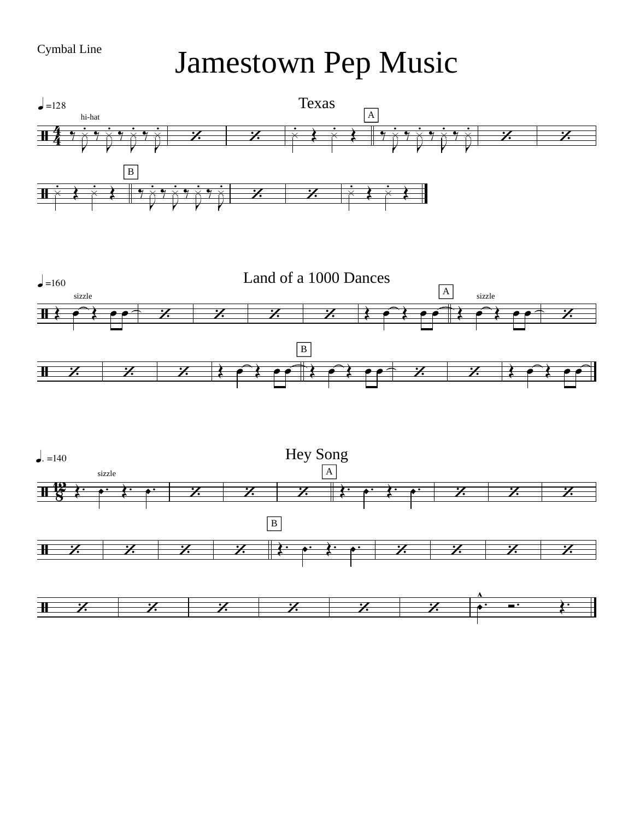Cymbal Line Jamestown Pep Music

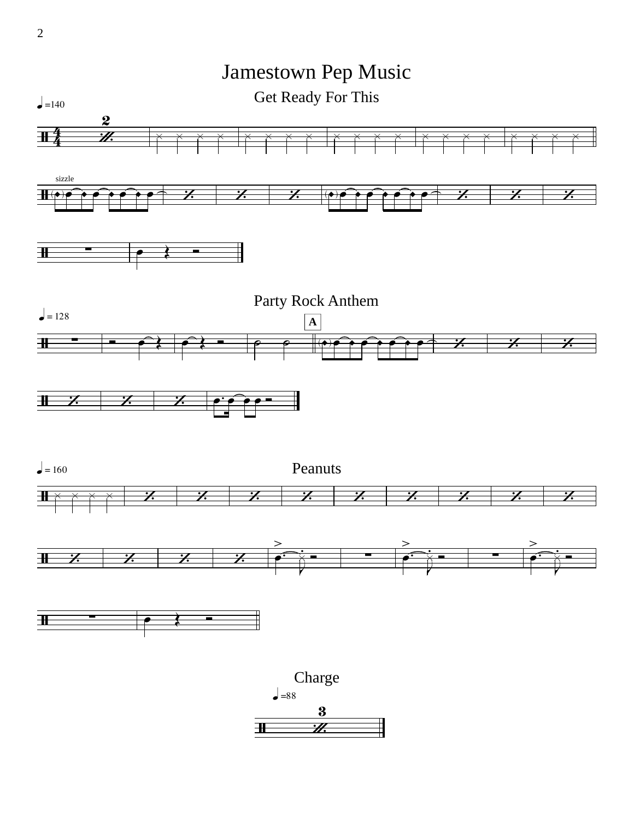

2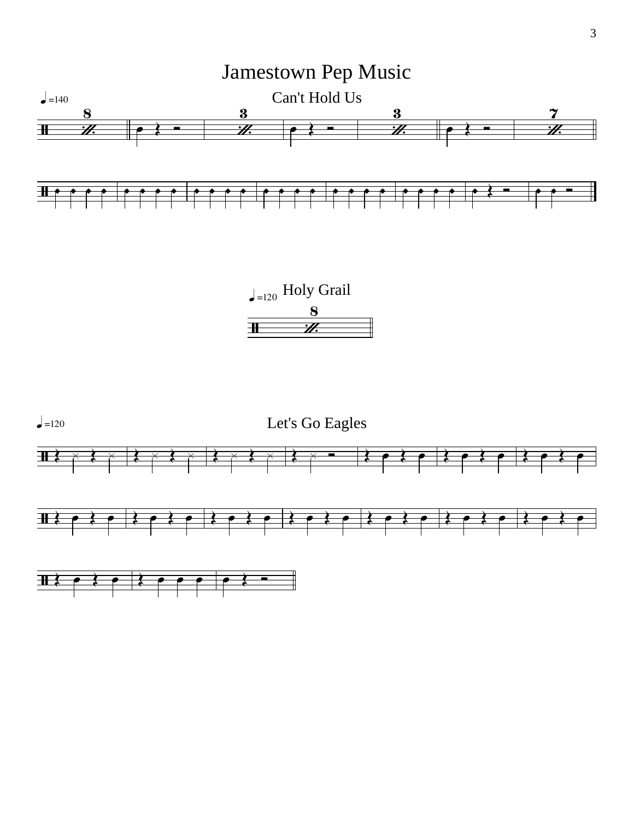

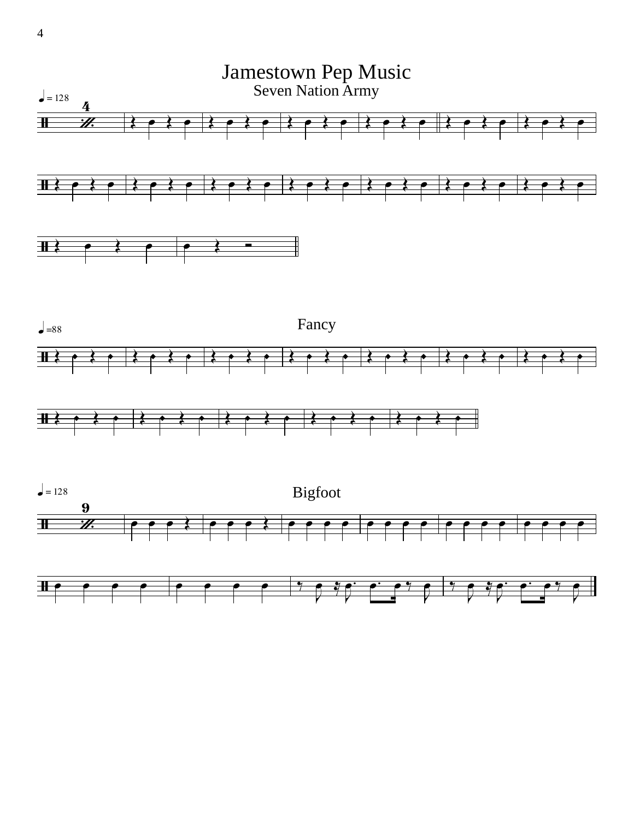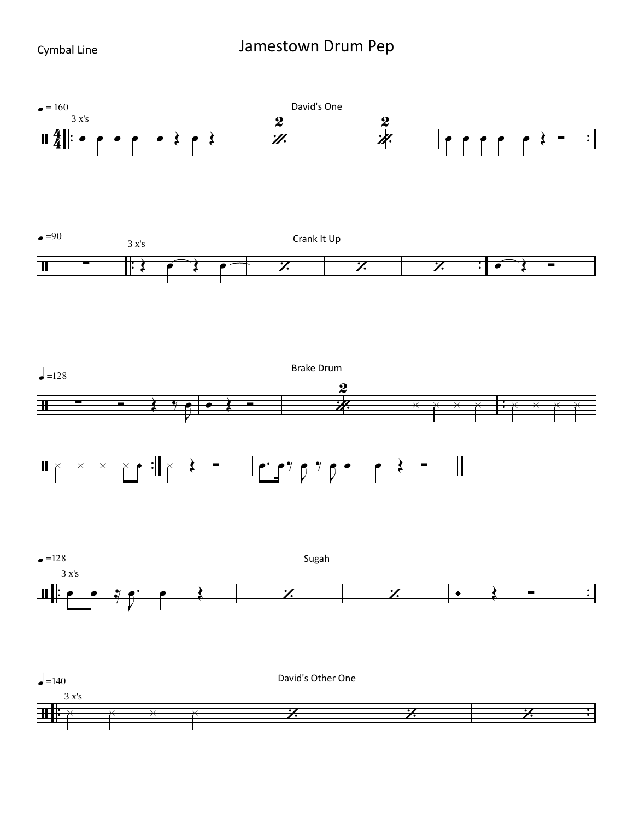## Jamestown Drum Pep